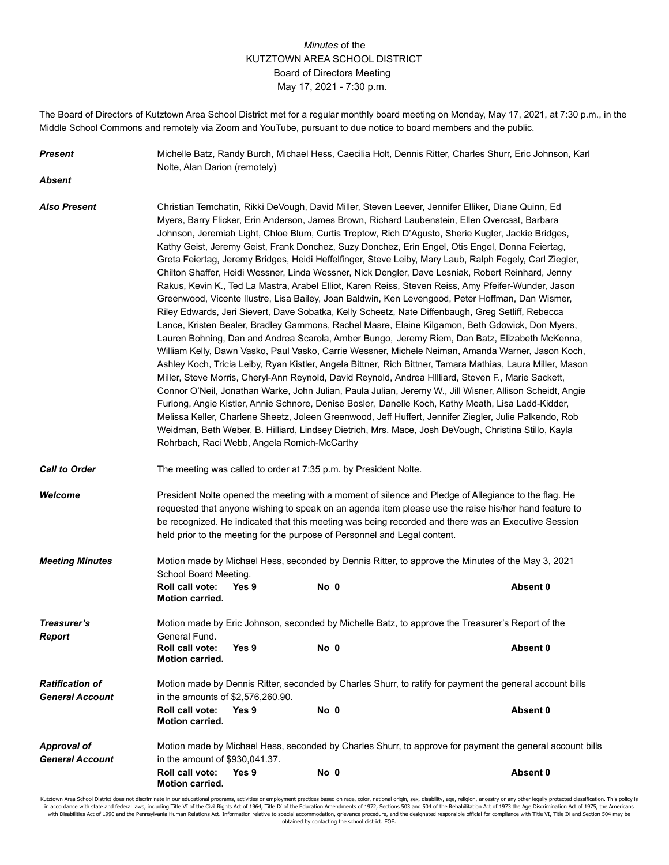## *Minutes* of the KUTZTOWN AREA SCHOOL DISTRICT Board of Directors Meeting May 17, 2021 - 7:30 p.m.

The Board of Directors of Kutztown Area School District met for a regular monthly board meeting on Monday, May 17, 2021, at 7:30 p.m., in the Middle School Commons and remotely via Zoom and YouTube, pursuant to due notice to board members and the public.

*Present* Michelle Batz, Randy Burch, Michael Hess, Caecilia Holt, Dennis Ritter, Charles Shurr, Eric Johnson, Karl Nolte, Alan Darion (remotely)

*Absent*

*Also Present* Christian Temchatin, Rikki DeVough, David Miller, Steven Leever, Jennifer Elliker, Diane Quinn, Ed Myers, Barry Flicker, Erin Anderson, James Brown, Richard Laubenstein, Ellen Overcast, Barbara Johnson, Jeremiah Light, Chloe Blum, Curtis Treptow, Rich D'Agusto, Sherie Kugler, Jackie Bridges, Kathy Geist, Jeremy Geist, Frank Donchez, Suzy Donchez, Erin Engel, Otis Engel, Donna Feiertag, Greta Feiertag, Jeremy Bridges, Heidi Heffelfinger, Steve Leiby, Mary Laub, Ralph Fegely, Carl Ziegler, Chilton Shaffer, Heidi Wessner, Linda Wessner, Nick Dengler, Dave Lesniak, Robert Reinhard, Jenny Rakus, Kevin K., Ted La Mastra, Arabel Elliot, Karen Reiss, Steven Reiss, Amy Pfeifer-Wunder, Jason Greenwood, Vicente Ilustre, Lisa Bailey, Joan Baldwin, Ken Levengood, Peter Hoffman, Dan Wismer, Riley Edwards, Jeri Sievert, Dave Sobatka, Kelly Scheetz, Nate Diffenbaugh, Greg Setliff, Rebecca Lance, Kristen Bealer, Bradley Gammons, Rachel Masre, Elaine Kilgamon, Beth Gdowick, Don Myers, Lauren Bohning, Dan and Andrea Scarola, Amber Bungo, Jeremy Riem, Dan Batz, Elizabeth McKenna, William Kelly, Dawn Vasko, Paul Vasko, Carrie Wessner, Michele Neiman, Amanda Warner, Jason Koch, Ashley Koch, Tricia Leiby, Ryan Kistler, Angela Bittner, Rich Bittner, Tamara Mathias, Laura Miller, Mason Miller, Steve Morris, Cheryl-Ann Reynold, David Reynold, Andrea HIlliard, Steven F., Marie Sackett, Connor O'Neil, Jonathan Warke, John Julian, Paula Julian, Jeremy W., Jill Wisner, Allison Scheidt, Angie Furlong, Angie Kistler, Annie Schnore, Denise Bosler, Danelle Koch, Kathy Meath, Lisa Ladd-Kidder, Melissa Keller, Charlene Sheetz, Joleen Greenwood, Jeff Huffert, Jennifer Ziegler, Julie Palkendo, Rob Weidman, Beth Weber, B. Hilliard, Lindsey Dietrich, Mrs. Mace, Josh DeVough, Christina Stillo, Kayla Rohrbach, Raci Webb, Angela Romich-McCarthy

**Call to Order** The meeting was called to order at 7:35 p.m. by President Nolte.

**Welcome** President Nolte opened the meeting with a moment of silence and Pledge of Allegiance to the flag. He requested that anyone wishing to speak on an agenda item please use the raise his/her hand feature to be recognized. He indicated that this meeting was being recorded and there was an Executive Session held prior to the meeting for the purpose of Personnel and Legal content.

*Meeting Minutes* Motion made by Michael Hess, seconded by Dennis Ritter, to approve the Minutes of the May 3, 2021 School Board Meeting. **Roll call vote: Yes 9 No 0 Absent 0 Motion carried.**

*Treasurer's* Motion made by Eric Johnson, seconded by Michelle Batz, to approve the Treasurer's Report of the **Report General Fund. Roll call vote: Yes 9 No 0 Absent 0 Motion carried.** *Ratification of* Motion made by Dennis Ritter, seconded by Charles Shurr, to ratify for payment the general account bills *General Account* in the amounts of \$2,576,260.90. **Roll call vote: Yes 9 No 0 Absent 0 Motion carried.** Approval of Motion made by Michael Hess, seconded by Charles Shurr, to approve for payment the general account bills

*General Account* in the amount of \$930,041.37. **Roll call vote: Yes 9 No 0 Absent 0 Motion carried.**

Kutztown Area School District does not discriminate in our educational programs, activities or employment practices based on race, color, national origin, sex, disability, age, religion, ancestry or any other legally prote in accordance with state and federal laws, including Title VI of the Civil Rights Act of 1964, Title IX of the Education Amendments of 1972, Sections 503 and 504 of the Rehabilitation Act of 1973 the Age Discrimination Act with Disabilities Act of 1990 and the Pennsylvania Human Relations Act. Information relative to special accommodation, grievance procedure, and the designated responsible official for compliance with Title VI, Title IX and obtained by contacting the school district. EOE.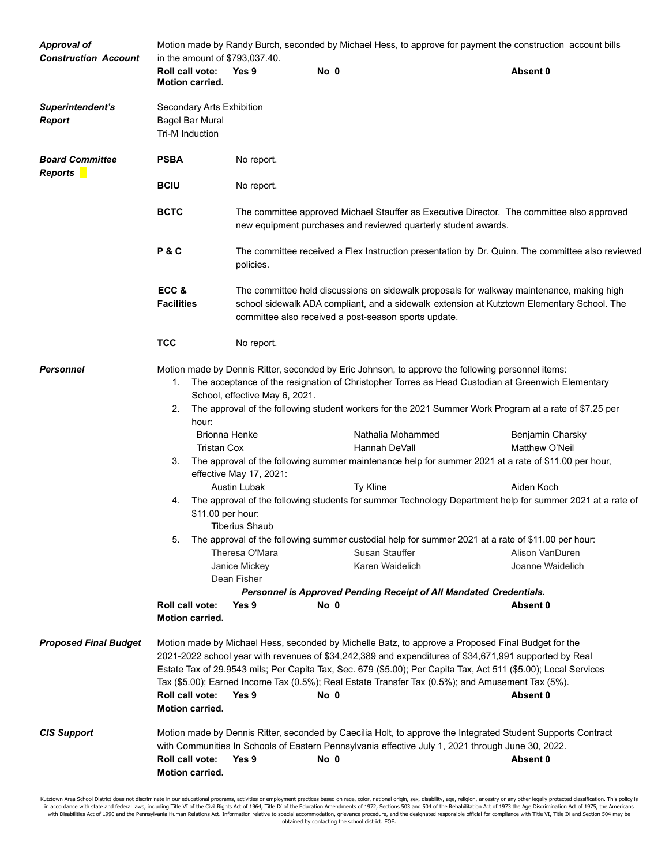| Approval of<br><b>Construction Account</b> | Motion made by Randy Burch, seconded by Michael Hess, to approve for payment the construction account bills<br>in the amount of \$793,037.40.                                                                                                                                                                                                                                                                                                                                                          |                                                                                                                                                                                                                                                 |                                                                        |                                                                                                                                                                                                                                                                                                                                                                                                                                                                                                                 |                                                                                                                                                                                                                                                                                                                            |  |
|--------------------------------------------|--------------------------------------------------------------------------------------------------------------------------------------------------------------------------------------------------------------------------------------------------------------------------------------------------------------------------------------------------------------------------------------------------------------------------------------------------------------------------------------------------------|-------------------------------------------------------------------------------------------------------------------------------------------------------------------------------------------------------------------------------------------------|------------------------------------------------------------------------|-----------------------------------------------------------------------------------------------------------------------------------------------------------------------------------------------------------------------------------------------------------------------------------------------------------------------------------------------------------------------------------------------------------------------------------------------------------------------------------------------------------------|----------------------------------------------------------------------------------------------------------------------------------------------------------------------------------------------------------------------------------------------------------------------------------------------------------------------------|--|
|                                            | Roll call vote:<br><b>Motion carried.</b>                                                                                                                                                                                                                                                                                                                                                                                                                                                              | Yes 9                                                                                                                                                                                                                                           | No 0                                                                   |                                                                                                                                                                                                                                                                                                                                                                                                                                                                                                                 | Absent 0                                                                                                                                                                                                                                                                                                                   |  |
| Superintendent's<br><b>Report</b>          | Secondary Arts Exhibition<br>Bagel Bar Mural<br>Tri-M Induction                                                                                                                                                                                                                                                                                                                                                                                                                                        |                                                                                                                                                                                                                                                 |                                                                        |                                                                                                                                                                                                                                                                                                                                                                                                                                                                                                                 |                                                                                                                                                                                                                                                                                                                            |  |
| <b>Board Committee</b><br><b>Reports</b>   | <b>PSBA</b>                                                                                                                                                                                                                                                                                                                                                                                                                                                                                            | No report.                                                                                                                                                                                                                                      |                                                                        |                                                                                                                                                                                                                                                                                                                                                                                                                                                                                                                 |                                                                                                                                                                                                                                                                                                                            |  |
|                                            | <b>BCIU</b>                                                                                                                                                                                                                                                                                                                                                                                                                                                                                            | No report.                                                                                                                                                                                                                                      |                                                                        |                                                                                                                                                                                                                                                                                                                                                                                                                                                                                                                 |                                                                                                                                                                                                                                                                                                                            |  |
|                                            | <b>BCTC</b>                                                                                                                                                                                                                                                                                                                                                                                                                                                                                            |                                                                                                                                                                                                                                                 |                                                                        | new equipment purchases and reviewed quarterly student awards.                                                                                                                                                                                                                                                                                                                                                                                                                                                  | The committee approved Michael Stauffer as Executive Director. The committee also approved                                                                                                                                                                                                                                 |  |
|                                            | P&C                                                                                                                                                                                                                                                                                                                                                                                                                                                                                                    | policies.                                                                                                                                                                                                                                       |                                                                        |                                                                                                                                                                                                                                                                                                                                                                                                                                                                                                                 | The committee received a Flex Instruction presentation by Dr. Quinn. The committee also reviewed                                                                                                                                                                                                                           |  |
|                                            | ECC&<br><b>Facilities</b>                                                                                                                                                                                                                                                                                                                                                                                                                                                                              | The committee held discussions on sidewalk proposals for walkway maintenance, making high<br>school sidewalk ADA compliant, and a sidewalk extension at Kutztown Elementary School. The<br>committee also received a post-season sports update. |                                                                        |                                                                                                                                                                                                                                                                                                                                                                                                                                                                                                                 |                                                                                                                                                                                                                                                                                                                            |  |
|                                            | <b>TCC</b>                                                                                                                                                                                                                                                                                                                                                                                                                                                                                             | No report.                                                                                                                                                                                                                                      |                                                                        |                                                                                                                                                                                                                                                                                                                                                                                                                                                                                                                 |                                                                                                                                                                                                                                                                                                                            |  |
| <b>Personnel</b>                           | 1.<br>2.<br>hour:<br><b>Brionna Henke</b><br><b>Tristan Cox</b><br>3.<br>4.<br>\$11.00 per hour:<br>5.<br>Roll call vote:<br><b>Motion carried.</b>                                                                                                                                                                                                                                                                                                                                                    | School, effective May 6, 2021.<br>effective May 17, 2021:<br><b>Austin Lubak</b><br>Tiberius Shaub<br>Theresa O'Mara<br>Janice Mickey<br>Dean Fisher<br>Yes 9                                                                                   | Hannah DeVall<br>Ty Kline<br>Susan Stauffer<br>Karen Waidelich<br>No 0 | Motion made by Dennis Ritter, seconded by Eric Johnson, to approve the following personnel items:<br>The acceptance of the resignation of Christopher Torres as Head Custodian at Greenwich Elementary<br>Nathalia Mohammed<br>The approval of the following summer maintenance help for summer 2021 at a rate of \$11.00 per hour,<br>The approval of the following summer custodial help for summer 2021 at a rate of \$11.00 per hour:<br>Personnel is Approved Pending Receipt of All Mandated Credentials. | The approval of the following student workers for the 2021 Summer Work Program at a rate of \$7.25 per<br>Benjamin Charsky<br>Matthew O'Neil<br>Aiden Koch<br>The approval of the following students for summer Technology Department help for summer 2021 at a rate of<br>Alison VanDuren<br>Joanne Waidelich<br>Absent 0 |  |
| <b>Proposed Final Budget</b>               | Motion made by Michael Hess, seconded by Michelle Batz, to approve a Proposed Final Budget for the<br>2021-2022 school year with revenues of \$34,242,389 and expenditures of \$34,671,991 supported by Real<br>Estate Tax of 29.9543 mils; Per Capita Tax, Sec. 679 (\$5.00); Per Capita Tax, Act 511 (\$5.00); Local Services<br>Tax (\$5.00); Earned Income Tax (0.5%); Real Estate Transfer Tax (0.5%); and Amusement Tax (5%).<br>Roll call vote:<br>Yes 9<br>No 0<br>Absent 0<br>Motion carried. |                                                                                                                                                                                                                                                 |                                                                        |                                                                                                                                                                                                                                                                                                                                                                                                                                                                                                                 |                                                                                                                                                                                                                                                                                                                            |  |
| <b>CIS Support</b>                         | Roll call vote:<br>Motion carried.                                                                                                                                                                                                                                                                                                                                                                                                                                                                     | Yes 9                                                                                                                                                                                                                                           | No 0                                                                   | Motion made by Dennis Ritter, seconded by Caecilia Holt, to approve the Integrated Student Supports Contract<br>with Communities In Schools of Eastern Pennsylvania effective July 1, 2021 through June 30, 2022.                                                                                                                                                                                                                                                                                               | Absent 0                                                                                                                                                                                                                                                                                                                   |  |

Kutztown Area School District does not discriminate in our educational programs, activities or employment practices based on race, color, national origin, sex, disability, age, religion, ancestry or any other legally prote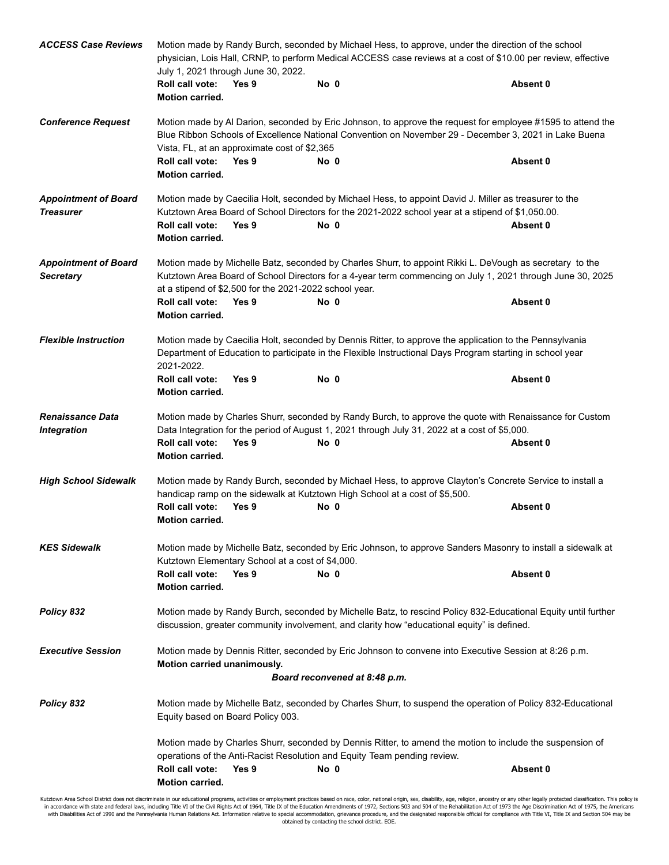| <b>ACCESS Case Reviews</b>                      | Motion made by Randy Burch, seconded by Michael Hess, to approve, under the direction of the school<br>physician, Lois Hall, CRNP, to perform Medical ACCESS case reviews at a cost of \$10.00 per review, effective<br>July 1, 2021 through June 30, 2022.                      |       |                                                                                                                                                                                                                      |          |  |  |  |
|-------------------------------------------------|----------------------------------------------------------------------------------------------------------------------------------------------------------------------------------------------------------------------------------------------------------------------------------|-------|----------------------------------------------------------------------------------------------------------------------------------------------------------------------------------------------------------------------|----------|--|--|--|
|                                                 | Roll call vote:<br><b>Motion carried.</b>                                                                                                                                                                                                                                        | Yes 9 | No 0                                                                                                                                                                                                                 | Absent 0 |  |  |  |
| <b>Conference Request</b>                       | Motion made by Al Darion, seconded by Eric Johnson, to approve the request for employee #1595 to attend the<br>Blue Ribbon Schools of Excellence National Convention on November 29 - December 3, 2021 in Lake Buena<br>Vista, FL, at an approximate cost of \$2,365             |       |                                                                                                                                                                                                                      |          |  |  |  |
|                                                 | Roll call vote:<br>Motion carried.                                                                                                                                                                                                                                               | Yes 9 | No 0                                                                                                                                                                                                                 | Absent 0 |  |  |  |
| <b>Appointment of Board</b><br><b>Treasurer</b> |                                                                                                                                                                                                                                                                                  |       | Motion made by Caecilia Holt, seconded by Michael Hess, to appoint David J. Miller as treasurer to the<br>Kutztown Area Board of School Directors for the 2021-2022 school year at a stipend of \$1,050.00.          |          |  |  |  |
|                                                 | Roll call vote:<br>Motion carried.                                                                                                                                                                                                                                               | Yes 9 | No 0                                                                                                                                                                                                                 | Absent 0 |  |  |  |
| <b>Appointment of Board</b><br><b>Secretary</b> | Motion made by Michelle Batz, seconded by Charles Shurr, to appoint Rikki L. DeVough as secretary to the<br>Kutztown Area Board of School Directors for a 4-year term commencing on July 1, 2021 through June 30, 2025<br>at a stipend of \$2,500 for the 2021-2022 school year. |       |                                                                                                                                                                                                                      |          |  |  |  |
|                                                 | Roll call vote:<br>Motion carried.                                                                                                                                                                                                                                               | Yes 9 | No 0                                                                                                                                                                                                                 | Absent 0 |  |  |  |
| <b>Flexible Instruction</b>                     | 2021-2022.                                                                                                                                                                                                                                                                       |       | Motion made by Caecilia Holt, seconded by Dennis Ritter, to approve the application to the Pennsylvania<br>Department of Education to participate in the Flexible Instructional Days Program starting in school year |          |  |  |  |
|                                                 | Roll call vote:<br><b>Motion carried.</b>                                                                                                                                                                                                                                        | Yes 9 | No 0                                                                                                                                                                                                                 | Absent 0 |  |  |  |
| <b>Renaissance Data</b><br><b>Integration</b>   |                                                                                                                                                                                                                                                                                  |       | Motion made by Charles Shurr, seconded by Randy Burch, to approve the quote with Renaissance for Custom<br>Data Integration for the period of August 1, 2021 through July 31, 2022 at a cost of \$5,000.             |          |  |  |  |
|                                                 | Roll call vote:<br>Motion carried.                                                                                                                                                                                                                                               | Yes 9 | No 0                                                                                                                                                                                                                 | Absent 0 |  |  |  |
| <b>High School Sidewalk</b>                     |                                                                                                                                                                                                                                                                                  |       | Motion made by Randy Burch, seconded by Michael Hess, to approve Clayton's Concrete Service to install a<br>handicap ramp on the sidewalk at Kutztown High School at a cost of \$5,500.                              |          |  |  |  |
|                                                 | <b>Roll call vote:</b><br><b>Motion carried.</b>                                                                                                                                                                                                                                 | Yes 9 | No 0                                                                                                                                                                                                                 | Absent 0 |  |  |  |
| <b>KES Sidewalk</b>                             | Motion made by Michelle Batz, seconded by Eric Johnson, to approve Sanders Masonry to install a sidewalk at<br>Kutztown Elementary School at a cost of \$4,000.                                                                                                                  |       |                                                                                                                                                                                                                      |          |  |  |  |
|                                                 | <b>Roll call vote:</b><br><b>Motion carried.</b>                                                                                                                                                                                                                                 | Yes 9 | No 0                                                                                                                                                                                                                 | Absent 0 |  |  |  |
| Policy 832                                      | Motion made by Randy Burch, seconded by Michelle Batz, to rescind Policy 832-Educational Equity until further<br>discussion, greater community involvement, and clarity how "educational equity" is defined.                                                                     |       |                                                                                                                                                                                                                      |          |  |  |  |
| <b>Executive Session</b>                        | Motion carried unanimously.                                                                                                                                                                                                                                                      |       | Motion made by Dennis Ritter, seconded by Eric Johnson to convene into Executive Session at 8:26 p.m.<br>Board reconvened at 8:48 p.m.                                                                               |          |  |  |  |
|                                                 |                                                                                                                                                                                                                                                                                  |       |                                                                                                                                                                                                                      |          |  |  |  |
| Policy 832                                      | Motion made by Michelle Batz, seconded by Charles Shurr, to suspend the operation of Policy 832-Educational<br>Equity based on Board Policy 003.                                                                                                                                 |       |                                                                                                                                                                                                                      |          |  |  |  |
|                                                 | Motion made by Charles Shurr, seconded by Dennis Ritter, to amend the motion to include the suspension of<br>operations of the Anti-Racist Resolution and Equity Team pending review.                                                                                            |       |                                                                                                                                                                                                                      |          |  |  |  |
|                                                 | Roll call vote:<br>Motion carried.                                                                                                                                                                                                                                               | Yes 9 | No 0                                                                                                                                                                                                                 | Absent 0 |  |  |  |

Kutztown Area School District does not discriminate in our educational programs, activities or employment practices based on race, color, national origin, sex, disability, age, religion, ancestry or any other legally prote